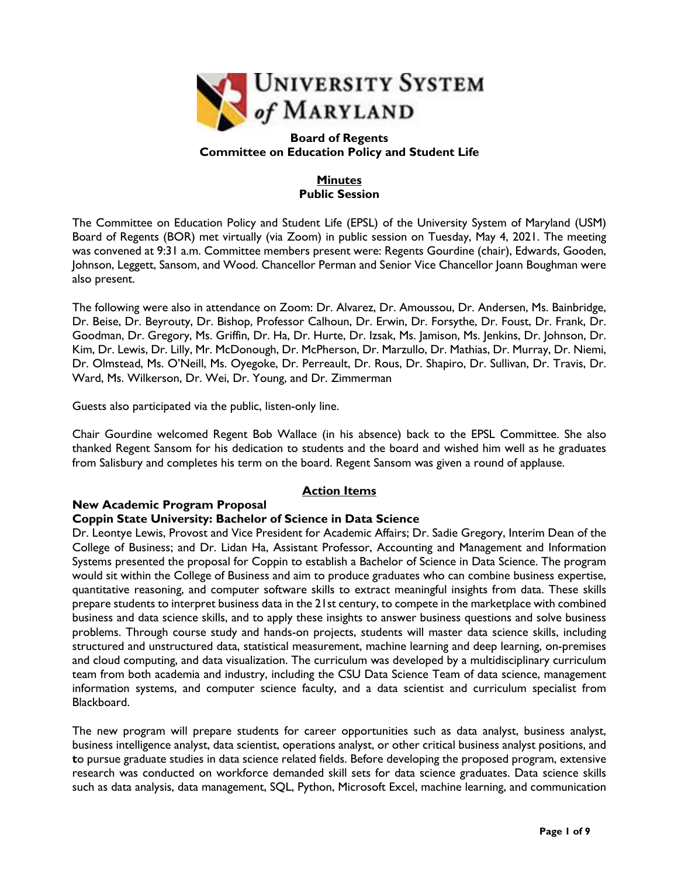

#### **Board of Regents Committee on Education Policy and Student Life**

## **Minutes Public Session**

The Committee on Education Policy and Student Life (EPSL) of the University System of Maryland (USM) Board of Regents (BOR) met virtually (via Zoom) in public session on Tuesday, May 4, 2021. The meeting was convened at 9:31 a.m. Committee members present were: Regents Gourdine (chair), Edwards, Gooden, Johnson, Leggett, Sansom, and Wood. Chancellor Perman and Senior Vice Chancellor Joann Boughman were also present.

The following were also in attendance on Zoom: Dr. Alvarez, Dr. Amoussou, Dr. Andersen, Ms. Bainbridge, Dr. Beise, Dr. Beyrouty, Dr. Bishop, Professor Calhoun, Dr. Erwin, Dr. Forsythe, Dr. Foust, Dr. Frank, Dr. Goodman, Dr. Gregory, Ms. Griffin, Dr. Ha, Dr. Hurte, Dr. Izsak, Ms. Jamison, Ms. Jenkins, Dr. Johnson, Dr. Kim, Dr. Lewis, Dr. Lilly, Mr. McDonough, Dr. McPherson, Dr. Marzullo, Dr. Mathias, Dr. Murray, Dr. Niemi, Dr. Olmstead, Ms. O'Neill, Ms. Oyegoke, Dr. Perreault, Dr. Rous, Dr. Shapiro, Dr. Sullivan, Dr. Travis, Dr. Ward, Ms. Wilkerson, Dr. Wei, Dr. Young, and Dr. Zimmerman

Guests also participated via the public, listen-only line.

Chair Gourdine welcomed Regent Bob Wallace (in his absence) back to the EPSL Committee. She also thanked Regent Sansom for his dedication to students and the board and wished him well as he graduates from Salisbury and completes his term on the board. Regent Sansom was given a round of applause.

## **Action Items**

#### **New Academic Program Proposal Coppin State University: Bachelor of Science in Data Science**

Dr. Leontye Lewis, Provost and Vice President for Academic Affairs; Dr. Sadie Gregory, Interim Dean of the College of Business; and Dr. Lidan Ha, Assistant Professor, Accounting and Management and Information Systems presented the proposal for Coppin to establish a Bachelor of Science in Data Science. The program would sit within the College of Business and aim to produce graduates who can combine business expertise, quantitative reasoning, and computer software skills to extract meaningful insights from data. These skills prepare students to interpret business data in the 21st century, to compete in the marketplace with combined business and data science skills, and to apply these insights to answer business questions and solve business problems. Through course study and hands-on projects, students will master data science skills, including structured and unstructured data, statistical measurement, machine learning and deep learning, on-premises and cloud computing, and data visualization. The curriculum was developed by a multidisciplinary curriculum team from both academia and industry, including the CSU Data Science Team of data science, management information systems, and computer science faculty, and a data scientist and curriculum specialist from Blackboard.

The new program will prepare students for career opportunities such as data analyst, business analyst, business intelligence analyst, data scientist, operations analyst, or other critical business analyst positions, and **t**o pursue graduate studies in data science related fields. Before developing the proposed program, extensive research was conducted on workforce demanded skill sets for data science graduates. Data science skills such as data analysis, data management, SQL, Python, Microsoft Excel, machine learning, and communication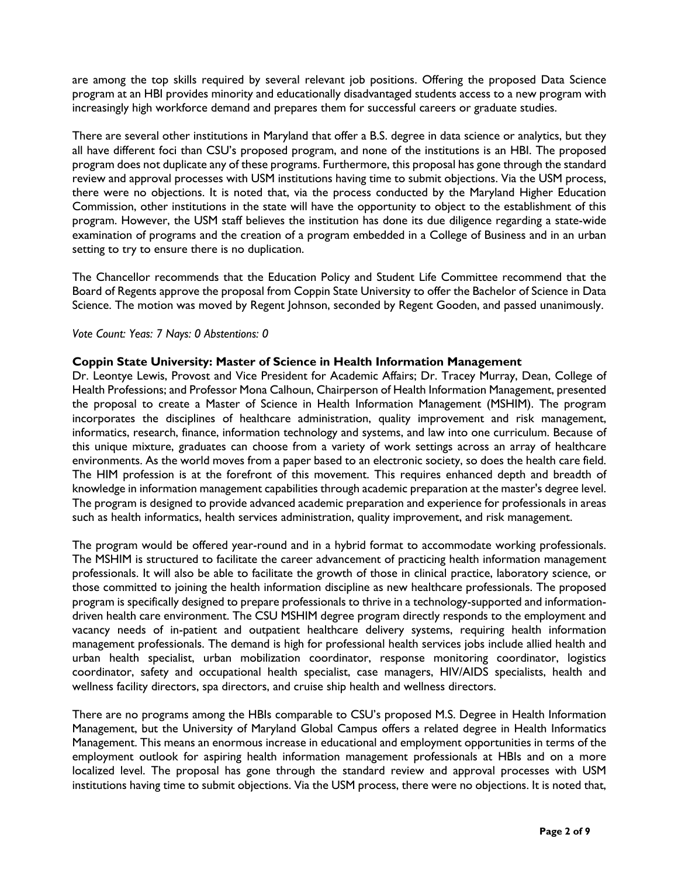are among the top skills required by several relevant job positions. Offering the proposed Data Science program at an HBI provides minority and educationally disadvantaged students access to a new program with increasingly high workforce demand and prepares them for successful careers or graduate studies.

There are several other institutions in Maryland that offer a B.S. degree in data science or analytics, but they all have different foci than CSU's proposed program, and none of the institutions is an HBI. The proposed program does not duplicate any of these programs. Furthermore, this proposal has gone through the standard review and approval processes with USM institutions having time to submit objections. Via the USM process, there were no objections. It is noted that, via the process conducted by the Maryland Higher Education Commission, other institutions in the state will have the opportunity to object to the establishment of this program. However, the USM staff believes the institution has done its due diligence regarding a state-wide examination of programs and the creation of a program embedded in a College of Business and in an urban setting to try to ensure there is no duplication.

The Chancellor recommends that the Education Policy and Student Life Committee recommend that the Board of Regents approve the proposal from Coppin State University to offer the Bachelor of Science in Data Science. The motion was moved by Regent Johnson, seconded by Regent Gooden, and passed unanimously.

### *Vote Count: Yeas: 7 Nays: 0 Abstentions: 0*

### **Coppin State University: Master of Science in Health Information Management**

Dr. Leontye Lewis, Provost and Vice President for Academic Affairs; Dr. Tracey Murray, Dean, College of Health Professions; and Professor Mona Calhoun, Chairperson of Health Information Management, presented the proposal to create a Master of Science in Health Information Management (MSHIM). The program incorporates the disciplines of healthcare administration, quality improvement and risk management, informatics, research, finance, information technology and systems, and law into one curriculum. Because of this unique mixture, graduates can choose from a variety of work settings across an array of healthcare environments. As the world moves from a paper based to an electronic society, so does the health care field. The HIM profession is at the forefront of this movement. This requires enhanced depth and breadth of knowledge in information management capabilities through academic preparation at the master's degree level. The program is designed to provide advanced academic preparation and experience for professionals in areas such as health informatics, health services administration, quality improvement, and risk management.

The program would be offered year-round and in a hybrid format to accommodate working professionals. The MSHIM is structured to facilitate the career advancement of practicing health information management professionals. It will also be able to facilitate the growth of those in clinical practice, laboratory science, or those committed to joining the health information discipline as new healthcare professionals. The proposed program is specifically designed to prepare professionals to thrive in a technology-supported and informationdriven health care environment. The CSU MSHIM degree program directly responds to the employment and vacancy needs of in-patient and outpatient healthcare delivery systems, requiring health information management professionals. The demand is high for professional health services jobs include allied health and urban health specialist, urban mobilization coordinator, response monitoring coordinator, logistics coordinator, safety and occupational health specialist, case managers, HIV/AIDS specialists, health and wellness facility directors, spa directors, and cruise ship health and wellness directors.

There are no programs among the HBIs comparable to CSU's proposed M.S. Degree in Health Information Management, but the University of Maryland Global Campus offers a related degree in Health Informatics Management. This means an enormous increase in educational and employment opportunities in terms of the employment outlook for aspiring health information management professionals at HBIs and on a more localized level. The proposal has gone through the standard review and approval processes with USM institutions having time to submit objections. Via the USM process, there were no objections. It is noted that,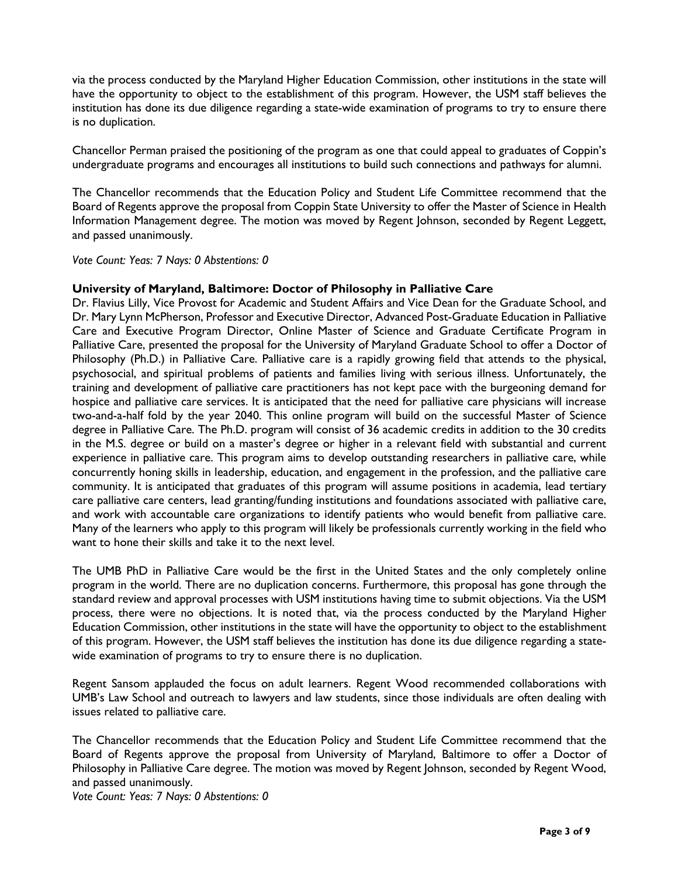via the process conducted by the Maryland Higher Education Commission, other institutions in the state will have the opportunity to object to the establishment of this program. However, the USM staff believes the institution has done its due diligence regarding a state-wide examination of programs to try to ensure there is no duplication.

Chancellor Perman praised the positioning of the program as one that could appeal to graduates of Coppin's undergraduate programs and encourages all institutions to build such connections and pathways for alumni.

The Chancellor recommends that the Education Policy and Student Life Committee recommend that the Board of Regents approve the proposal from Coppin State University to offer the Master of Science in Health Information Management degree. The motion was moved by Regent Johnson, seconded by Regent Leggett, and passed unanimously.

*Vote Count: Yeas: 7 Nays: 0 Abstentions: 0* 

#### **University of Maryland, Baltimore: Doctor of Philosophy in Palliative Care**

Dr. Flavius Lilly, Vice Provost for Academic and Student Affairs and Vice Dean for the Graduate School, and Dr. Mary Lynn McPherson, Professor and Executive Director, Advanced Post-Graduate Education in Palliative Care and Executive Program Director, Online Master of Science and Graduate Certificate Program in Palliative Care, presented the proposal for the University of Maryland Graduate School to offer a Doctor of Philosophy (Ph.D.) in Palliative Care. Palliative care is a rapidly growing field that attends to the physical, psychosocial, and spiritual problems of patients and families living with serious illness. Unfortunately, the training and development of palliative care practitioners has not kept pace with the burgeoning demand for hospice and palliative care services. It is anticipated that the need for palliative care physicians will increase two-and-a-half fold by the year 2040. This online program will build on the successful Master of Science degree in Palliative Care. The Ph.D. program will consist of 36 academic credits in addition to the 30 credits in the M.S. degree or build on a master's degree or higher in a relevant field with substantial and current experience in palliative care. This program aims to develop outstanding researchers in palliative care, while concurrently honing skills in leadership, education, and engagement in the profession, and the palliative care community. It is anticipated that graduates of this program will assume positions in academia, lead tertiary care palliative care centers, lead granting/funding institutions and foundations associated with palliative care, and work with accountable care organizations to identify patients who would benefit from palliative care. Many of the learners who apply to this program will likely be professionals currently working in the field who want to hone their skills and take it to the next level.

The UMB PhD in Palliative Care would be the first in the United States and the only completely online program in the world. There are no duplication concerns. Furthermore, this proposal has gone through the standard review and approval processes with USM institutions having time to submit objections. Via the USM process, there were no objections. It is noted that, via the process conducted by the Maryland Higher Education Commission, other institutions in the state will have the opportunity to object to the establishment of this program. However, the USM staff believes the institution has done its due diligence regarding a statewide examination of programs to try to ensure there is no duplication.

Regent Sansom applauded the focus on adult learners. Regent Wood recommended collaborations with UMB's Law School and outreach to lawyers and law students, since those individuals are often dealing with issues related to palliative care.

The Chancellor recommends that the Education Policy and Student Life Committee recommend that the Board of Regents approve the proposal from University of Maryland, Baltimore to offer a Doctor of Philosophy in Palliative Care degree. The motion was moved by Regent Johnson, seconded by Regent Wood, and passed unanimously.

*Vote Count: Yeas: 7 Nays: 0 Abstentions: 0*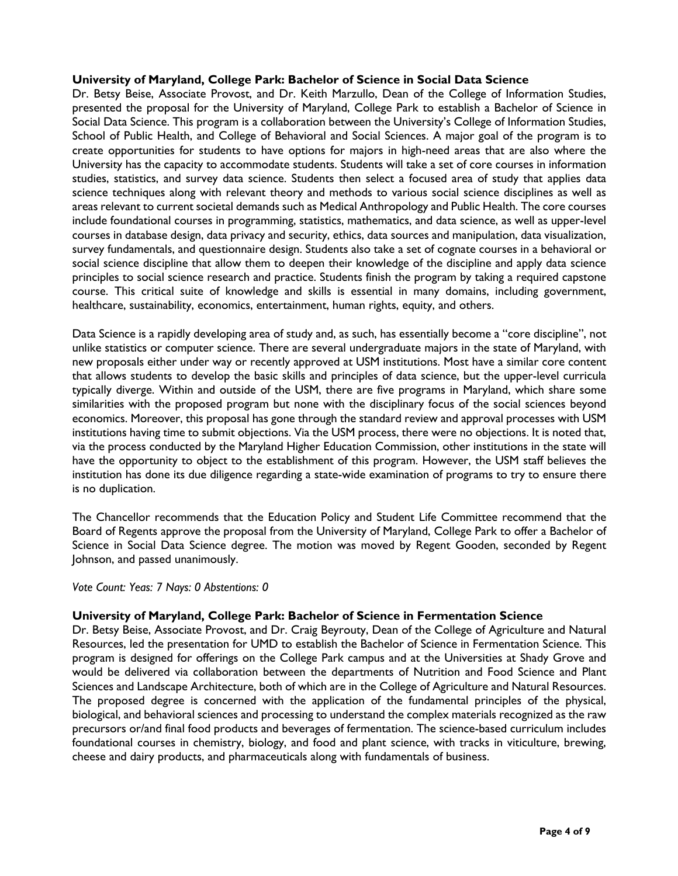#### **University of Maryland, College Park: Bachelor of Science in Social Data Science**

Dr. Betsy Beise, Associate Provost, and Dr. Keith Marzullo, Dean of the College of Information Studies, presented the proposal for the University of Maryland, College Park to establish a Bachelor of Science in Social Data Science. This program is a collaboration between the University's College of Information Studies, School of Public Health, and College of Behavioral and Social Sciences. A major goal of the program is to create opportunities for students to have options for majors in high-need areas that are also where the University has the capacity to accommodate students. Students will take a set of core courses in information studies, statistics, and survey data science. Students then select a focused area of study that applies data science techniques along with relevant theory and methods to various social science disciplines as well as areas relevant to current societal demands such as Medical Anthropology and Public Health. The core courses include foundational courses in programming, statistics, mathematics, and data science, as well as upper-level courses in database design, data privacy and security, ethics, data sources and manipulation, data visualization, survey fundamentals, and questionnaire design. Students also take a set of cognate courses in a behavioral or social science discipline that allow them to deepen their knowledge of the discipline and apply data science principles to social science research and practice. Students finish the program by taking a required capstone course. This critical suite of knowledge and skills is essential in many domains, including government, healthcare, sustainability, economics, entertainment, human rights, equity, and others.

Data Science is a rapidly developing area of study and, as such, has essentially become a "core discipline", not unlike statistics or computer science. There are several undergraduate majors in the state of Maryland, with new proposals either under way or recently approved at USM institutions. Most have a similar core content that allows students to develop the basic skills and principles of data science, but the upper-level curricula typically diverge. Within and outside of the USM, there are five programs in Maryland, which share some similarities with the proposed program but none with the disciplinary focus of the social sciences beyond economics. Moreover, this proposal has gone through the standard review and approval processes with USM institutions having time to submit objections. Via the USM process, there were no objections. It is noted that, via the process conducted by the Maryland Higher Education Commission, other institutions in the state will have the opportunity to object to the establishment of this program. However, the USM staff believes the institution has done its due diligence regarding a state-wide examination of programs to try to ensure there is no duplication.

The Chancellor recommends that the Education Policy and Student Life Committee recommend that the Board of Regents approve the proposal from the University of Maryland, College Park to offer a Bachelor of Science in Social Data Science degree. The motion was moved by Regent Gooden, seconded by Regent Johnson, and passed unanimously.

*Vote Count: Yeas: 7 Nays: 0 Abstentions: 0* 

### **University of Maryland, College Park: Bachelor of Science in Fermentation Science**

Dr. Betsy Beise, Associate Provost, and Dr. Craig Beyrouty, Dean of the College of Agriculture and Natural Resources, led the presentation for UMD to establish the Bachelor of Science in Fermentation Science. This program is designed for offerings on the College Park campus and at the Universities at Shady Grove and would be delivered via collaboration between the departments of Nutrition and Food Science and Plant Sciences and Landscape Architecture, both of which are in the College of Agriculture and Natural Resources. The proposed degree is concerned with the application of the fundamental principles of the physical, biological, and behavioral sciences and processing to understand the complex materials recognized as the raw precursors or/and final food products and beverages of fermentation. The science-based curriculum includes foundational courses in chemistry, biology, and food and plant science, with tracks in viticulture, brewing, cheese and dairy products, and pharmaceuticals along with fundamentals of business.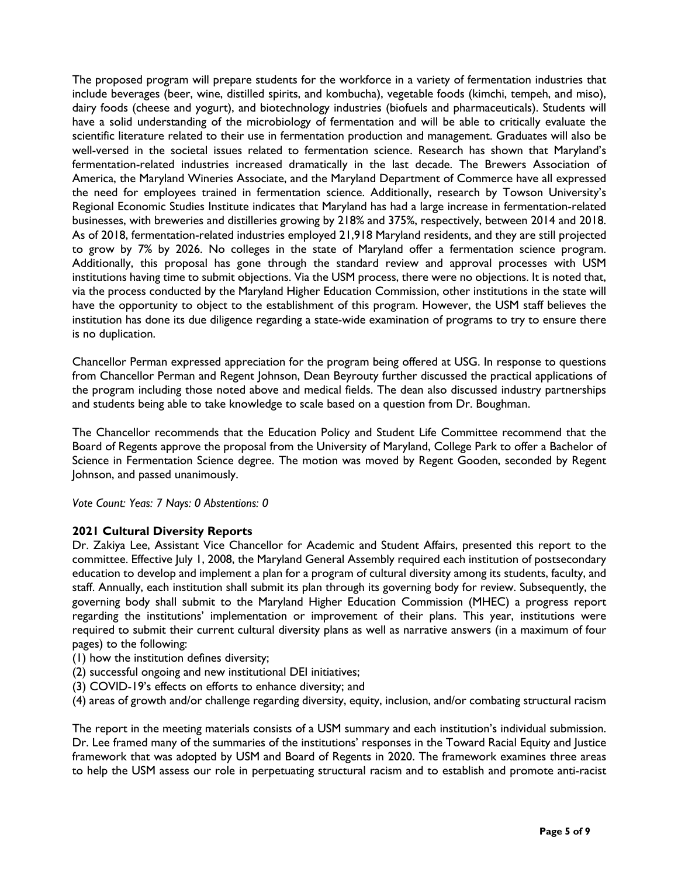The proposed program will prepare students for the workforce in a variety of fermentation industries that include beverages (beer, wine, distilled spirits, and kombucha), vegetable foods (kimchi, tempeh, and miso), dairy foods (cheese and yogurt), and biotechnology industries (biofuels and pharmaceuticals). Students will have a solid understanding of the microbiology of fermentation and will be able to critically evaluate the scientific literature related to their use in fermentation production and management. Graduates will also be well-versed in the societal issues related to fermentation science. Research has shown that Maryland's fermentation-related industries increased dramatically in the last decade. The Brewers Association of America, the Maryland Wineries Associate, and the Maryland Department of Commerce have all expressed the need for employees trained in fermentation science. Additionally, research by Towson University's Regional Economic Studies Institute indicates that Maryland has had a large increase in fermentation-related businesses, with breweries and distilleries growing by 218% and 375%, respectively, between 2014 and 2018. As of 2018, fermentation-related industries employed 21,918 Maryland residents, and they are still projected to grow by 7% by 2026. No colleges in the state of Maryland offer a fermentation science program. Additionally, this proposal has gone through the standard review and approval processes with USM institutions having time to submit objections. Via the USM process, there were no objections. It is noted that, via the process conducted by the Maryland Higher Education Commission, other institutions in the state will have the opportunity to object to the establishment of this program. However, the USM staff believes the institution has done its due diligence regarding a state-wide examination of programs to try to ensure there is no duplication.

Chancellor Perman expressed appreciation for the program being offered at USG. In response to questions from Chancellor Perman and Regent Johnson, Dean Beyrouty further discussed the practical applications of the program including those noted above and medical fields. The dean also discussed industry partnerships and students being able to take knowledge to scale based on a question from Dr. Boughman.

The Chancellor recommends that the Education Policy and Student Life Committee recommend that the Board of Regents approve the proposal from the University of Maryland, College Park to offer a Bachelor of Science in Fermentation Science degree. The motion was moved by Regent Gooden, seconded by Regent Johnson, and passed unanimously.

*Vote Count: Yeas: 7 Nays: 0 Abstentions: 0* 

## **2021 Cultural Diversity Reports**

Dr. Zakiya Lee, Assistant Vice Chancellor for Academic and Student Affairs, presented this report to the committee. Effective July 1, 2008, the Maryland General Assembly required each institution of postsecondary education to develop and implement a plan for a program of cultural diversity among its students, faculty, and staff. Annually, each institution shall submit its plan through its governing body for review. Subsequently, the governing body shall submit to the Maryland Higher Education Commission (MHEC) a progress report regarding the institutions' implementation or improvement of their plans. This year, institutions were required to submit their current cultural diversity plans as well as narrative answers (in a maximum of four pages) to the following:

- (1) how the institution defines diversity;
- (2) successful ongoing and new institutional DEI initiatives;
- (3) COVID-19's effects on efforts to enhance diversity; and
- (4) areas of growth and/or challenge regarding diversity, equity, inclusion, and/or combating structural racism

The report in the meeting materials consists of a USM summary and each institution's individual submission. Dr. Lee framed many of the summaries of the institutions' responses in the Toward Racial Equity and Justice framework that was adopted by USM and Board of Regents in 2020. The framework examines three areas to help the USM assess our role in perpetuating structural racism and to establish and promote anti-racist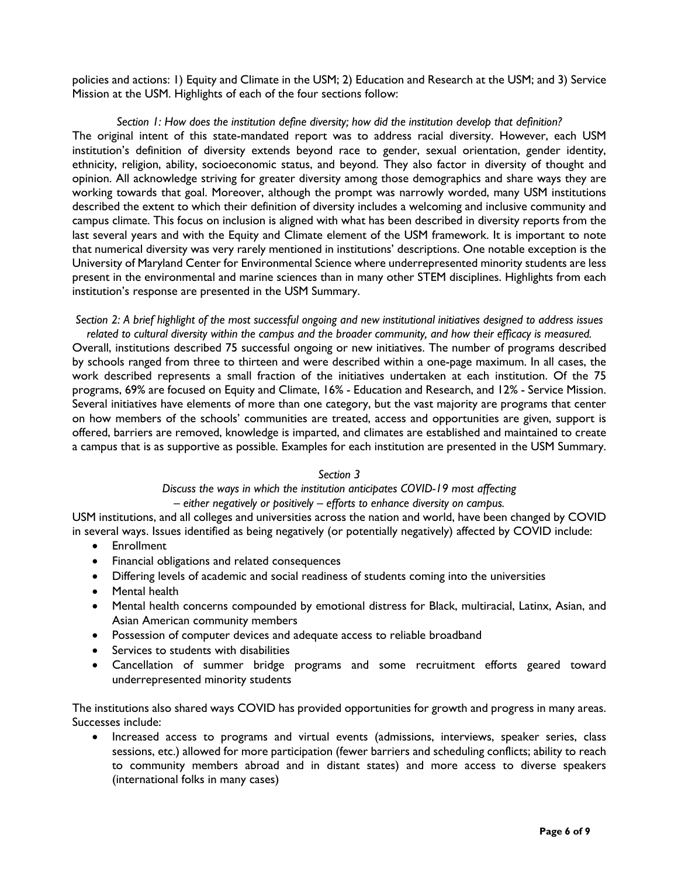policies and actions: 1) Equity and Climate in the USM; 2) Education and Research at the USM; and 3) Service Mission at the USM. Highlights of each of the four sections follow:

#### *Section 1: How does the institution define diversity; how did the institution develop that definition?*

The original intent of this state-mandated report was to address racial diversity. However, each USM institution's definition of diversity extends beyond race to gender, sexual orientation, gender identity, ethnicity, religion, ability, socioeconomic status, and beyond. They also factor in diversity of thought and opinion. All acknowledge striving for greater diversity among those demographics and share ways they are working towards that goal. Moreover, although the prompt was narrowly worded, many USM institutions described the extent to which their definition of diversity includes a welcoming and inclusive community and campus climate. This focus on inclusion is aligned with what has been described in diversity reports from the last several years and with the Equity and Climate element of the USM framework. It is important to note that numerical diversity was very rarely mentioned in institutions' descriptions. One notable exception is the University of Maryland Center for Environmental Science where underrepresented minority students are less present in the environmental and marine sciences than in many other STEM disciplines. Highlights from each institution's response are presented in the USM Summary.

#### *Section 2: A brief highlight of the most successful ongoing and new institutional initiatives designed to address issues related to cultural diversity within the campus and the broader community, and how their efficacy is measured.*

Overall, institutions described 75 successful ongoing or new initiatives. The number of programs described by schools ranged from three to thirteen and were described within a one-page maximum. In all cases, the work described represents a small fraction of the initiatives undertaken at each institution. Of the 75 programs, 69% are focused on Equity and Climate, 16% - Education and Research, and 12% - Service Mission. Several initiatives have elements of more than one category, but the vast majority are programs that center on how members of the schools' communities are treated, access and opportunities are given, support is offered, barriers are removed, knowledge is imparted, and climates are established and maintained to create a campus that is as supportive as possible. Examples for each institution are presented in the USM Summary.

### *Section 3*

# *Discuss the ways in which the institution anticipates COVID-19 most affecting*

## *– either negatively or positively – efforts to enhance diversity on campus.*

USM institutions, and all colleges and universities across the nation and world, have been changed by COVID in several ways. Issues identified as being negatively (or potentially negatively) affected by COVID include:

- Enrollment
- Financial obligations and related consequences
- Differing levels of academic and social readiness of students coming into the universities
- Mental health
- Mental health concerns compounded by emotional distress for Black, multiracial, Latinx, Asian, and Asian American community members
- Possession of computer devices and adequate access to reliable broadband
- Services to students with disabilities
- Cancellation of summer bridge programs and some recruitment efforts geared toward underrepresented minority students

The institutions also shared ways COVID has provided opportunities for growth and progress in many areas. Successes include:

• Increased access to programs and virtual events (admissions, interviews, speaker series, class sessions, etc.) allowed for more participation (fewer barriers and scheduling conflicts; ability to reach to community members abroad and in distant states) and more access to diverse speakers (international folks in many cases)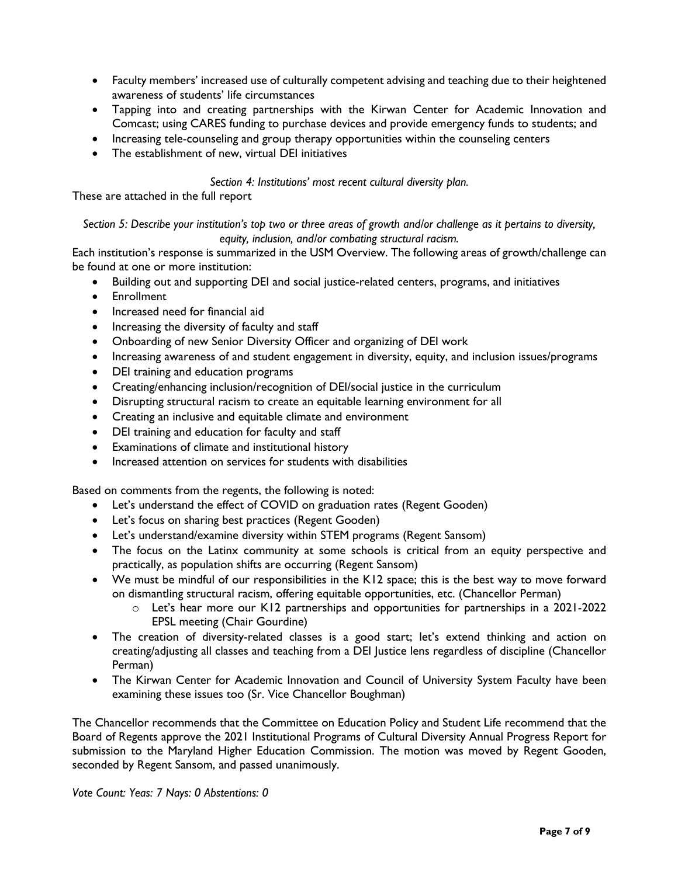- Faculty members' increased use of culturally competent advising and teaching due to their heightened awareness of students' life circumstances
- Tapping into and creating partnerships with the Kirwan Center for Academic Innovation and Comcast; using CARES funding to purchase devices and provide emergency funds to students; and
- Increasing tele-counseling and group therapy opportunities within the counseling centers
- The establishment of new, virtual DEI initiatives

## *Section 4: Institutions' most recent cultural diversity plan.*

These are attached in the full report

*Section 5: Describe your institution's top two or three areas of growth and/or challenge as it pertains to diversity, equity, inclusion, and/or combating structural racism.*

Each institution's response is summarized in the USM Overview. The following areas of growth/challenge can be found at one or more institution:

- Building out and supporting DEI and social justice-related centers, programs, and initiatives
- Enrollment
- Increased need for financial aid
- Increasing the diversity of faculty and staff
- Onboarding of new Senior Diversity Officer and organizing of DEI work
- Increasing awareness of and student engagement in diversity, equity, and inclusion issues/programs
- DEI training and education programs
- Creating/enhancing inclusion/recognition of DEI/social justice in the curriculum
- Disrupting structural racism to create an equitable learning environment for all
- Creating an inclusive and equitable climate and environment
- DEI training and education for faculty and staff
- Examinations of climate and institutional history
- Increased attention on services for students with disabilities

Based on comments from the regents, the following is noted:

- Let's understand the effect of COVID on graduation rates (Regent Gooden)
- Let's focus on sharing best practices (Regent Gooden)
- Let's understand/examine diversity within STEM programs (Regent Sansom)
- The focus on the Latinx community at some schools is critical from an equity perspective and practically, as population shifts are occurring (Regent Sansom)
- We must be mindful of our responsibilities in the K12 space; this is the best way to move forward on dismantling structural racism, offering equitable opportunities, etc. (Chancellor Perman)
	- o Let's hear more our K12 partnerships and opportunities for partnerships in a 2021-2022 EPSL meeting (Chair Gourdine)
- The creation of diversity-related classes is a good start; let's extend thinking and action on creating/adjusting all classes and teaching from a DEI Justice lens regardless of discipline (Chancellor Perman)
- The Kirwan Center for Academic Innovation and Council of University System Faculty have been examining these issues too (Sr. Vice Chancellor Boughman)

The Chancellor recommends that the Committee on Education Policy and Student Life recommend that the Board of Regents approve the 2021 Institutional Programs of Cultural Diversity Annual Progress Report for submission to the Maryland Higher Education Commission. The motion was moved by Regent Gooden, seconded by Regent Sansom, and passed unanimously.

*Vote Count: Yeas: 7 Nays: 0 Abstentions: 0*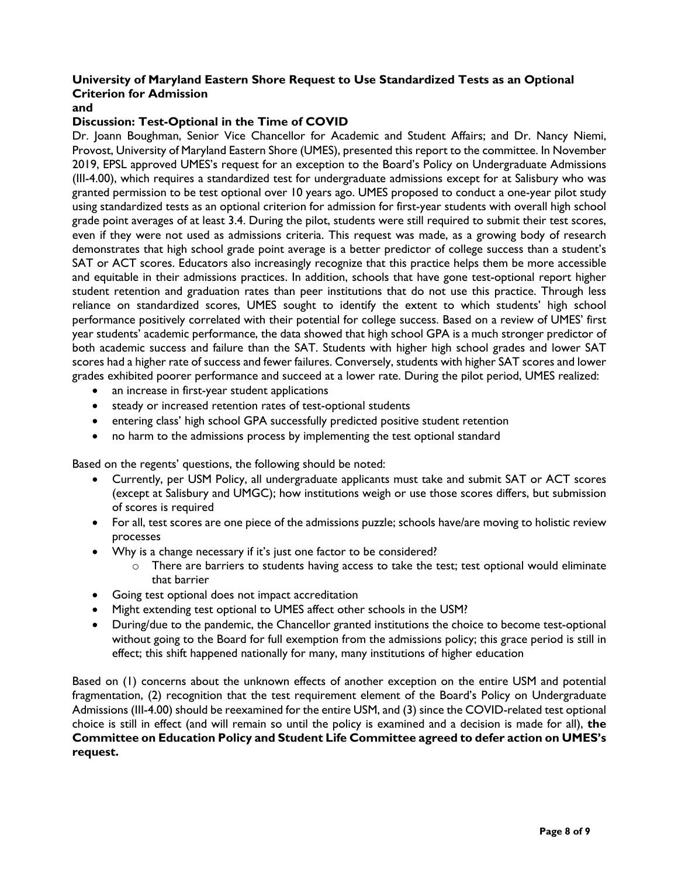# **University of Maryland Eastern Shore Request to Use Standardized Tests as an Optional Criterion for Admission**

### **and**

### **Discussion: Test-Optional in the Time of COVID**

Dr. Joann Boughman, Senior Vice Chancellor for Academic and Student Affairs; and Dr. Nancy Niemi, Provost, University of Maryland Eastern Shore (UMES), presented this report to the committee. In November 2019, EPSL approved UMES's request for an exception to the Board's Policy on Undergraduate Admissions (III-4.00), which requires a standardized test for undergraduate admissions except for at Salisbury who was granted permission to be test optional over 10 years ago. UMES proposed to conduct a one-year pilot study using standardized tests as an optional criterion for admission for first-year students with overall high school grade point averages of at least 3.4. During the pilot, students were still required to submit their test scores, even if they were not used as admissions criteria. This request was made, as a growing body of research demonstrates that high school grade point average is a better predictor of college success than a student's SAT or ACT scores. Educators also increasingly recognize that this practice helps them be more accessible and equitable in their admissions practices. In addition, schools that have gone test-optional report higher student retention and graduation rates than peer institutions that do not use this practice. Through less reliance on standardized scores, UMES sought to identify the extent to which students' high school performance positively correlated with their potential for college success. Based on a review of UMES' first year students' academic performance, the data showed that high school GPA is a much stronger predictor of both academic success and failure than the SAT. Students with higher high school grades and lower SAT scores had a higher rate of success and fewer failures. Conversely, students with higher SAT scores and lower grades exhibited poorer performance and succeed at a lower rate. During the pilot period, UMES realized:

- an increase in first-year student applications
- steady or increased retention rates of test-optional students
- entering class' high school GPA successfully predicted positive student retention
- no harm to the admissions process by implementing the test optional standard

Based on the regents' questions, the following should be noted:

- Currently, per USM Policy, all undergraduate applicants must take and submit SAT or ACT scores (except at Salisbury and UMGC); how institutions weigh or use those scores differs, but submission of scores is required
- For all, test scores are one piece of the admissions puzzle; schools have/are moving to holistic review processes
- Why is a change necessary if it's just one factor to be considered?
	- o There are barriers to students having access to take the test; test optional would eliminate that barrier
- Going test optional does not impact accreditation
- Might extending test optional to UMES affect other schools in the USM?
- During/due to the pandemic, the Chancellor granted institutions the choice to become test-optional without going to the Board for full exemption from the admissions policy; this grace period is still in effect; this shift happened nationally for many, many institutions of higher education

Based on (1) concerns about the unknown effects of another exception on the entire USM and potential fragmentation, (2) recognition that the test requirement element of the Board's Policy on Undergraduate Admissions (III-4.00) should be reexamined for the entire USM, and (3) since the COVID-related test optional choice is still in effect (and will remain so until the policy is examined and a decision is made for all), **the Committee on Education Policy and Student Life Committee agreed to defer action on UMES's request.**